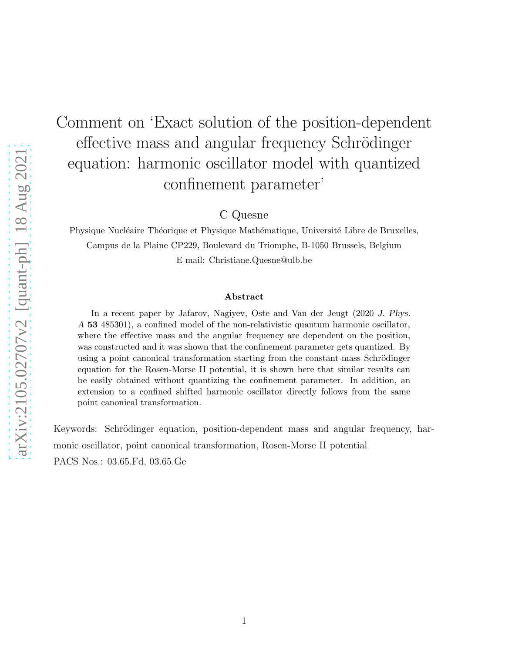## Comment on 'Exact solution of the position-dependent effective mass and angular frequency Schrödinger equation: harmonic oscillator model with quantized confinement parameter'

C Quesne

Physique Nucléaire Théorique et Physique Mathématique, Université Libre de Bruxelles, Campus de la Plaine CP229, Boulevard du Triomphe, B-1050 Brussels, Belgium E-mail: Christiane.Quesne@ulb.be

## Abstract

In a recent paper by Jafarov, Nagiyev, Oste and Van der Jeugt (2020 J. Phys. A 53 485301), a confined model of the non-relativistic quantum harmonic oscillator, where the effective mass and the angular frequency are dependent on the position, was constructed and it was shown that the confinement parameter gets quantized. By using a point canonical transformation starting from the constant-mass Schrödinger equation for the Rosen-Morse II potential, it is shown here that similar results can be easily obtained without quantizing the confinement parameter. In addition, an extension to a confined shifted harmonic oscillator directly follows from the same point canonical transformation.

Keywords: Schrödinger equation, position-dependent mass and angular frequency, harmonic oscillator, point canonical transformation, Rosen-Morse II potential PACS Nos.: 03.65.Fd, 03.65.Ge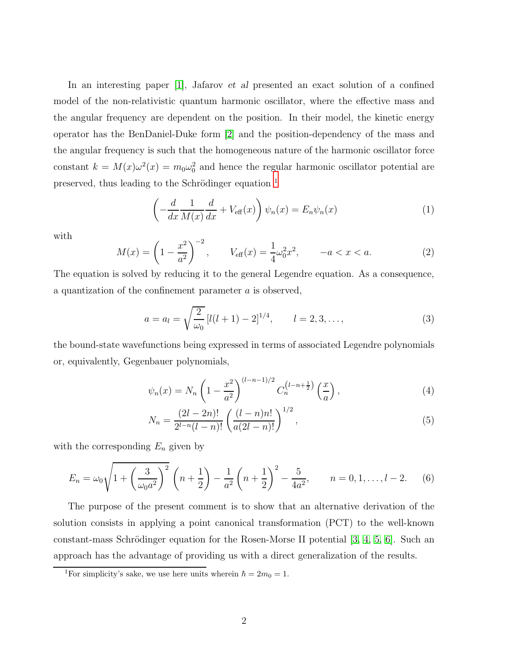In an interesting paper [\[1\]](#page-6-0), Jafarov *et al* presented an exact solution of a confined model of the non-relativistic quantum harmonic oscillator, where the effective mass and the angular frequency are dependent on the position. In their model, the kinetic energy operator has the BenDaniel-Duke form [\[2\]](#page-6-1) and the position-dependency of the mass and the angular frequency is such that the homogeneous nature of the harmonic oscillator force constant  $k = M(x)\omega^2(x) = m_0\omega_0^2$  and hence the regular harmonic oscillator potential are preserved, thus leading to the Schrödinger equation  $<sup>1</sup>$  $<sup>1</sup>$  $<sup>1</sup>$ </sup>

<span id="page-1-1"></span>
$$
\left(-\frac{d}{dx}\frac{1}{M(x)}\frac{d}{dx} + V_{\text{eff}}(x)\right)\psi_n(x) = E_n\psi_n(x) \tag{1}
$$

with

<span id="page-1-2"></span>
$$
M(x) = \left(1 - \frac{x^2}{a^2}\right)^{-2}, \qquad V_{\text{eff}}(x) = \frac{1}{4}\omega_0^2 x^2, \qquad -a < x < a. \tag{2}
$$

The equation is solved by reducing it to the general Legendre equation. As a consequence, a quantization of the confinement parameter a is observed,

$$
a = a_l = \sqrt{\frac{2}{\omega_0}} \left[ l(l+1) - 2 \right]^{1/4}, \qquad l = 2, 3, \dots,
$$
\n(3)

the bound-state wavefunctions being expressed in terms of associated Legendre polynomials or, equivalently, Gegenbauer polynomials,

$$
\psi_n(x) = N_n \left( 1 - \frac{x^2}{a^2} \right)^{(l-n-1)/2} C_n^{\left(l-n+\frac{1}{2}\right)} \left( \frac{x}{a} \right),\tag{4}
$$

$$
N_n = \frac{(2l - 2n)!}{2^{l - n}(l - n)!} \left( \frac{(l - n)n!}{a(2l - n)!} \right)^{1/2},\tag{5}
$$

with the corresponding  $E_n$  given by

$$
E_n = \omega_0 \sqrt{1 + \left(\frac{3}{\omega_0 a^2}\right)^2} \left(n + \frac{1}{2}\right) - \frac{1}{a^2} \left(n + \frac{1}{2}\right)^2 - \frac{5}{4a^2}, \qquad n = 0, 1, \dots, l - 2. \tag{6}
$$

The purpose of the present comment is to show that an alternative derivation of the solution consists in applying a point canonical transformation (PCT) to the well-known constant-mass Schrödinger equation for the Rosen-Morse II potential  $[3, 4, 5, 6]$  $[3, 4, 5, 6]$  $[3, 4, 5, 6]$  $[3, 4, 5, 6]$ . Such an approach has the advantage of providing us with a direct generalization of the results.

<span id="page-1-0"></span><sup>&</sup>lt;sup>1</sup>For simplicity's sake, we use here units wherein  $\hbar = 2m_0 = 1$ .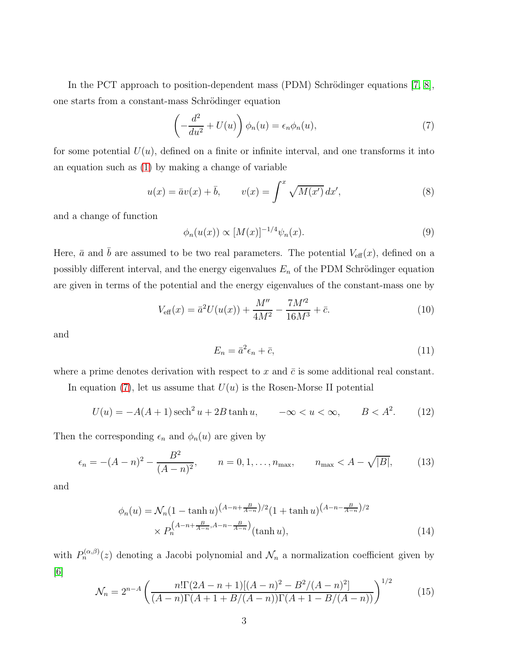In the PCT approach to position-dependent mass (PDM) Schrödinger equations  $[7, 8]$  $[7, 8]$ , one starts from a constant-mass Schrödinger equation

<span id="page-2-0"></span>
$$
\left(-\frac{d^2}{du^2} + U(u)\right)\phi_n(u) = \epsilon_n \phi_n(u),\tag{7}
$$

for some potential  $U(u)$ , defined on a finite or infinite interval, and one transforms it into an equation such as [\(1\)](#page-1-1) by making a change of variable

<span id="page-2-2"></span>
$$
u(x) = \bar{a}v(x) + \bar{b}, \qquad v(x) = \int^x \sqrt{M(x')} dx', \tag{8}
$$

and a change of function

<span id="page-2-4"></span>
$$
\phi_n(u(x)) \propto [M(x)]^{-1/4} \psi_n(x). \tag{9}
$$

Here,  $\bar{a}$  and  $\bar{b}$  are assumed to be two real parameters. The potential  $V_{\text{eff}}(x)$ , defined on a possibly different interval, and the energy eigenvalues  $E_n$  of the PDM Schrödinger equation are given in terms of the potential and the energy eigenvalues of the constant-mass one by

<span id="page-2-3"></span>
$$
V_{\text{eff}}(x) = \bar{a}^2 U(u(x)) + \frac{M''}{4M^2} - \frac{7M'^2}{16M^3} + \bar{c}.
$$
 (10)

and

<span id="page-2-5"></span>
$$
E_n = \bar{a}^2 \epsilon_n + \bar{c},\tag{11}
$$

where a prime denotes derivation with respect to x and  $\bar{c}$  is some additional real constant.

In equation [\(7\)](#page-2-0), let us assume that  $U(u)$  is the Rosen-Morse II potential

<span id="page-2-1"></span>
$$
U(u) = -A(A+1)\,\text{sech}^2 u + 2B\tanh u, \qquad -\infty < u < \infty, \qquad B < A^2. \tag{12}
$$

Then the corresponding  $\epsilon_n$  and  $\phi_n(u)$  are given by

$$
\epsilon_n = -(A - n)^2 - \frac{B^2}{(A - n)^2}, \qquad n = 0, 1, \dots, n_{\text{max}}, \qquad n_{\text{max}} < A - \sqrt{|B|}, \tag{13}
$$

and

$$
\phi_n(u) = \mathcal{N}_n(1 - \tanh u)^{\left(A - n + \frac{B}{A - n}\right)/2} (1 + \tanh u)^{\left(A - n - \frac{B}{A - n}\right)/2}
$$

$$
\times P_n^{\left(A - n + \frac{B}{A - n}, A - n - \frac{B}{A - n}\right)}(\tanh u), \tag{14}
$$

with  $P_n^{(\alpha,\beta)}(z)$  denoting a Jacobi polynomial and  $\mathcal{N}_n$  a normalization coefficient given by [\[6\]](#page-6-5)

$$
\mathcal{N}_n = 2^{n-A} \left( \frac{n! \Gamma(2A - n + 1)[(A - n)^2 - B^2/(A - n)^2]}{(A - n)\Gamma(A + 1 + B/(A - n))\Gamma(A + 1 - B/(A - n))} \right)^{1/2}
$$
(15)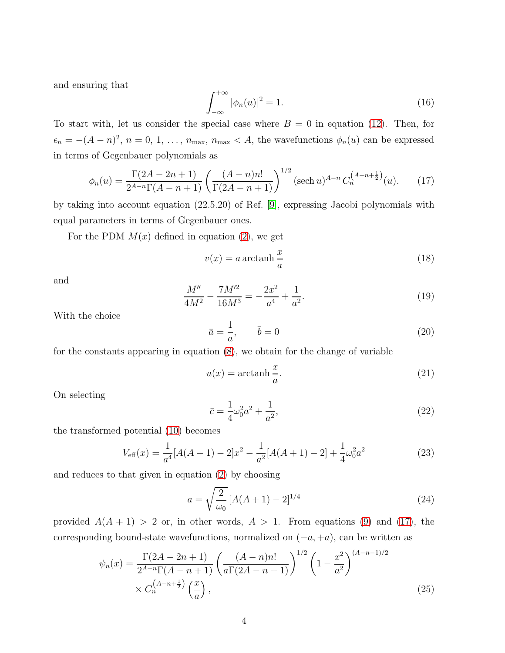and ensuring that

$$
\int_{-\infty}^{+\infty} |\phi_n(u)|^2 = 1.
$$
 (16)

To start with, let us consider the special case where  $B = 0$  in equation [\(12\)](#page-2-1). Then, for  $\epsilon_n = -(A-n)^2$ ,  $n = 0, 1, \ldots, n_{\text{max}}$ ,  $n_{\text{max}} < A$ , the wavefunctions  $\phi_n(u)$  can be expressed in terms of Gegenbauer polynomials as

<span id="page-3-0"></span>
$$
\phi_n(u) = \frac{\Gamma(2A - 2n + 1)}{2^{A-n}\Gamma(A - n + 1)} \left(\frac{(A - n)n!}{\Gamma(2A - n + 1)}\right)^{1/2} (\text{sech } u)^{A - n} C_n^{(A - n + \frac{1}{2})}(u). \tag{17}
$$

by taking into account equation (22.5.20) of Ref. [\[9\]](#page-6-8), expressing Jacobi polynomials with equal parameters in terms of Gegenbauer ones.

For the PDM  $M(x)$  defined in equation [\(2\)](#page-1-2), we get

$$
v(x) = a \arctanh \frac{x}{a}
$$
 (18)

and

$$
\frac{M''}{4M^2} - \frac{7M'^2}{16M^3} = -\frac{2x^2}{a^4} + \frac{1}{a^2}.\tag{19}
$$

With the choice

$$
\bar{a} = \frac{1}{a}, \qquad \bar{b} = 0 \tag{20}
$$

for the constants appearing in equation [\(8\)](#page-2-2), we obtain for the change of variable

$$
u(x) = \operatorname{arctanh}\frac{x}{a}.\tag{21}
$$

On selecting

<span id="page-3-2"></span>
$$
\bar{c} = \frac{1}{4}\omega_0^2 a^2 + \frac{1}{a^2},\tag{22}
$$

the transformed potential [\(10\)](#page-2-3) becomes

$$
V_{\text{eff}}(x) = \frac{1}{a^4} [A(A+1) - 2]x^2 - \frac{1}{a^2} [A(A+1) - 2] + \frac{1}{4} \omega_0^2 a^2 \tag{23}
$$

and reduces to that given in equation [\(2\)](#page-1-2) by choosing

<span id="page-3-3"></span><span id="page-3-1"></span>
$$
a = \sqrt{\frac{2}{\omega_0}} \left[ A(A+1) - 2 \right]^{1/4} \tag{24}
$$

provided  $A(A + 1) > 2$  or, in other words,  $A > 1$ . From equations [\(9\)](#page-2-4) and [\(17\)](#page-3-0), the corresponding bound-state wavefunctions, normalized on  $(-a, +a)$ , can be written as

$$
\psi_n(x) = \frac{\Gamma(2A - 2n + 1)}{2^{A - n}\Gamma(A - n + 1)} \left(\frac{(A - n)n!}{a\Gamma(2A - n + 1)}\right)^{1/2} \left(1 - \frac{x^2}{a^2}\right)^{(A - n - 1)/2} \times C_n^{\left(A - n + \frac{1}{2}\right)} \left(\frac{x}{a}\right),\tag{25}
$$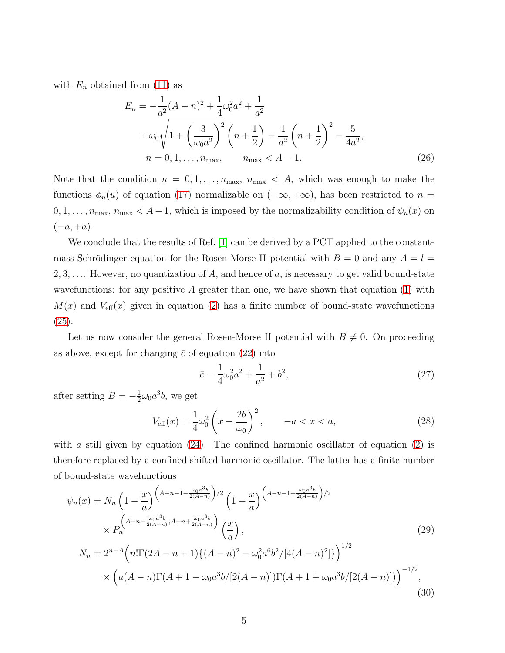with  $E_n$  obtained from [\(11\)](#page-2-5) as

$$
E_n = -\frac{1}{a^2}(A - n)^2 + \frac{1}{4}\omega_0^2 a^2 + \frac{1}{a^2}
$$
  
=  $\omega_0 \sqrt{1 + \left(\frac{3}{\omega_0 a^2}\right)^2} \left(n + \frac{1}{2}\right) - \frac{1}{a^2} \left(n + \frac{1}{2}\right)^2 - \frac{5}{4a^2},$   
 $n = 0, 1, ..., n_{\text{max}}, \qquad n_{\text{max}} < A - 1.$  (26)

Note that the condition  $n = 0, 1, \ldots, n_{\text{max}}$ ,  $n_{\text{max}} < A$ , which was enough to make the functions  $\phi_n(u)$  of equation [\(17\)](#page-3-0) normalizable on  $(-\infty, +\infty)$ , has been restricted to  $n =$  $0, 1, \ldots, n_{\text{max}}, n_{\text{max}} < A - 1$ , which is imposed by the normalizability condition of  $\psi_n(x)$  on  $(-a, +a).$ 

We conclude that the results of Ref. [\[1\]](#page-6-0) can be derived by a PCT applied to the constantmass Schrödinger equation for the Rosen-Morse II potential with  $B = 0$  and any  $A = l =$  $2, 3, \ldots$  However, no quantization of A, and hence of a, is necessary to get valid bound-state wavefunctions: for any positive A greater than one, we have shown that equation  $(1)$  with  $M(x)$  and  $V_{\text{eff}}(x)$  given in equation [\(2\)](#page-1-2) has a finite number of bound-state wavefunctions [\(25\)](#page-3-1).

Let us now consider the general Rosen-Morse II potential with  $B \neq 0$ . On proceeding as above, except for changing  $\bar{c}$  of equation [\(22\)](#page-3-2) into

$$
\bar{c} = \frac{1}{4}\omega_0^2 a^2 + \frac{1}{a^2} + b^2,\tag{27}
$$

after setting  $B = -\frac{1}{2}$  $\frac{1}{2}\omega_0 a^3 b$ , we get

$$
V_{\text{eff}}(x) = \frac{1}{4}\omega_0^2 \left(x - \frac{2b}{\omega_0}\right)^2, \qquad -a < x < a,\tag{28}
$$

with a still given by equation  $(24)$ . The confined harmonic oscillator of equation  $(2)$  is therefore replaced by a confined shifted harmonic oscillator. The latter has a finite number of bound-state wavefunctions

$$
\psi_n(x) = N_n \left( 1 - \frac{x}{a} \right)^{\left( A - n - 1 - \frac{\omega_0 a^3 b}{2(A - n)} \right) / 2} \left( 1 + \frac{x}{a} \right)^{\left( A - n - 1 + \frac{\omega_0 a^3 b}{2(A - n)} \right) / 2}
$$
\n
$$
\times P_n^{\left( A - n - \frac{\omega_0 a^3 b}{2(A - n)}, A - n + \frac{\omega_0 a^3 b}{2(A - n)} \right)} \left( \frac{x}{a} \right),
$$
\n
$$
N_n = 2^{n - A} \left( n! \Gamma(2A - n + 1) \{ (A - n)^2 - \omega_0^2 a^6 b^2 / [4(A - n)^2] \} \right)^{1/2}
$$
\n
$$
\times \left( a(A - n) \Gamma(A + 1 - \omega_0 a^3 b / [2(A - n)]) \Gamma(A + 1 + \omega_0 a^3 b / [2(A - n)] \right)^{-1/2},
$$
\n(30)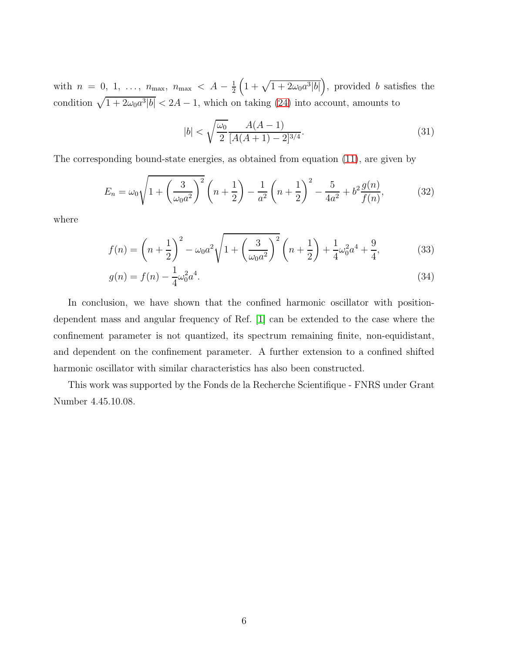with  $n = 0, 1, ..., n_{\text{max}}, n_{\text{max}} < A - \frac{1}{2}$  $\frac{1}{2}\left(1+\sqrt{1+2\omega_0a^3|b|}\right)$ , provided b satisfies the condition  $\sqrt{1 + 2\omega_0 a^3 |b|} < 2A - 1$ , which on taking [\(24\)](#page-3-3) into account, amounts to

$$
|b| < \sqrt{\frac{\omega_0}{2}} \frac{A(A-1)}{[A(A+1) - 2]^{3/4}}.\tag{31}
$$

The corresponding bound-state energies, as obtained from equation [\(11\)](#page-2-5), are given by

$$
E_n = \omega_0 \sqrt{1 + \left(\frac{3}{\omega_0 a^2}\right)^2} \left(n + \frac{1}{2}\right) - \frac{1}{a^2} \left(n + \frac{1}{2}\right)^2 - \frac{5}{4a^2} + b^2 \frac{g(n)}{f(n)},\tag{32}
$$

where

$$
f(n) = \left(n + \frac{1}{2}\right)^2 - \omega_0 a^2 \sqrt{1 + \left(\frac{3}{\omega_0 a^2}\right)^2} \left(n + \frac{1}{2}\right) + \frac{1}{4} \omega_0^2 a^4 + \frac{9}{4},\tag{33}
$$

$$
g(n) = f(n) - \frac{1}{4}\omega_0^2 a^4.
$$
\n(34)

In conclusion, we have shown that the confined harmonic oscillator with positiondependent mass and angular frequency of Ref. [\[1\]](#page-6-0) can be extended to the case where the confinement parameter is not quantized, its spectrum remaining finite, non-equidistant, and dependent on the confinement parameter. A further extension to a confined shifted harmonic oscillator with similar characteristics has also been constructed.

This work was supported by the Fonds de la Recherche Scientifique - FNRS under Grant Number 4.45.10.08.